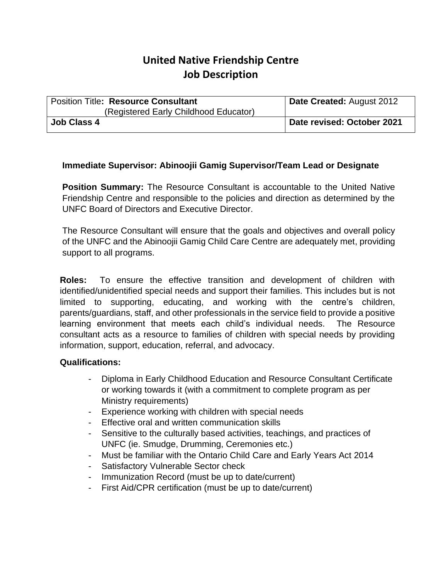# **United Native Friendship Centre Job Description**

| <b>Position Title: Resource Consultant</b> | Date Created: August 2012  |
|--------------------------------------------|----------------------------|
| (Registered Early Childhood Educator)      |                            |
| <b>Job Class 4</b>                         | Date revised: October 2021 |

## **Immediate Supervisor: Abinoojii Gamig Supervisor/Team Lead or Designate**

**Position Summary:** The Resource Consultant is accountable to the United Native Friendship Centre and responsible to the policies and direction as determined by the UNFC Board of Directors and Executive Director.

The Resource Consultant will ensure that the goals and objectives and overall policy of the UNFC and the Abinoojii Gamig Child Care Centre are adequately met, providing support to all programs.

**Roles:** To ensure the effective transition and development of children with identified/unidentified special needs and support their families. This includes but is not limited to supporting, educating, and working with the centre's children, parents/guardians, staff, and other professionals in the service field to provide a positive learning environment that meets each child's individual needs. The Resource consultant acts as a resource to families of children with special needs by providing information, support, education, referral, and advocacy.

#### **Qualifications:**

- Diploma in Early Childhood Education and Resource Consultant Certificate or working towards it (with a commitment to complete program as per Ministry requirements)
- Experience working with children with special needs
- Effective oral and written communication skills
- Sensitive to the culturally based activities, teachings, and practices of UNFC (ie. Smudge, Drumming, Ceremonies etc.)
- Must be familiar with the Ontario Child Care and Early Years Act 2014
- Satisfactory Vulnerable Sector check
- Immunization Record (must be up to date/current)
- First Aid/CPR certification (must be up to date/current)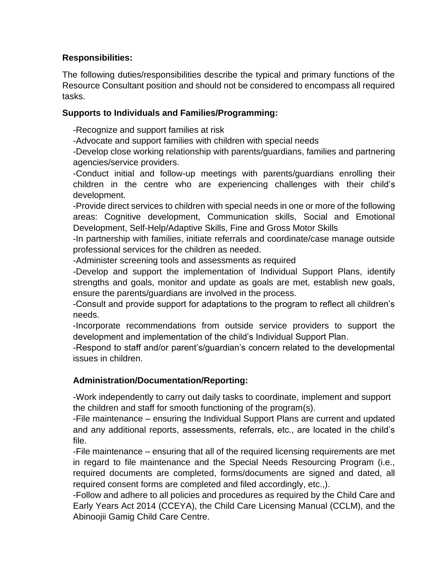# **Responsibilities:**

The following duties/responsibilities describe the typical and primary functions of the Resource Consultant position and should not be considered to encompass all required tasks.

## **Supports to Individuals and Families/Programming:**

-Recognize and support families at risk

-Advocate and support families with children with special needs

-Develop close working relationship with parents/guardians, families and partnering agencies/service providers.

-Conduct initial and follow-up meetings with parents/guardians enrolling their children in the centre who are experiencing challenges with their child's development.

-Provide direct services to children with special needs in one or more of the following areas: Cognitive development, Communication skills, Social and Emotional Development, Self-Help/Adaptive Skills, Fine and Gross Motor Skills

-In partnership with families, initiate referrals and coordinate/case manage outside professional services for the children as needed.

-Administer screening tools and assessments as required

-Develop and support the implementation of Individual Support Plans, identify strengths and goals, monitor and update as goals are met, establish new goals, ensure the parents/guardians are involved in the process.

-Consult and provide support for adaptations to the program to reflect all children's needs.

-Incorporate recommendations from outside service providers to support the development and implementation of the child's Individual Support Plan.

-Respond to staff and/or parent's/guardian's concern related to the developmental issues in children.

# **Administration/Documentation/Reporting:**

-Work independently to carry out daily tasks to coordinate, implement and support the children and staff for smooth functioning of the program(s).

-File maintenance – ensuring the Individual Support Plans are current and updated and any additional reports, assessments, referrals, etc., are located in the child's file.

-File maintenance – ensuring that all of the required licensing requirements are met in regard to file maintenance and the Special Needs Resourcing Program (i.e., required documents are completed, forms/documents are signed and dated, all required consent forms are completed and filed accordingly, etc.,).

-Follow and adhere to all policies and procedures as required by the Child Care and Early Years Act 2014 (CCEYA), the Child Care Licensing Manual (CCLM), and the Abinoojii Gamig Child Care Centre.